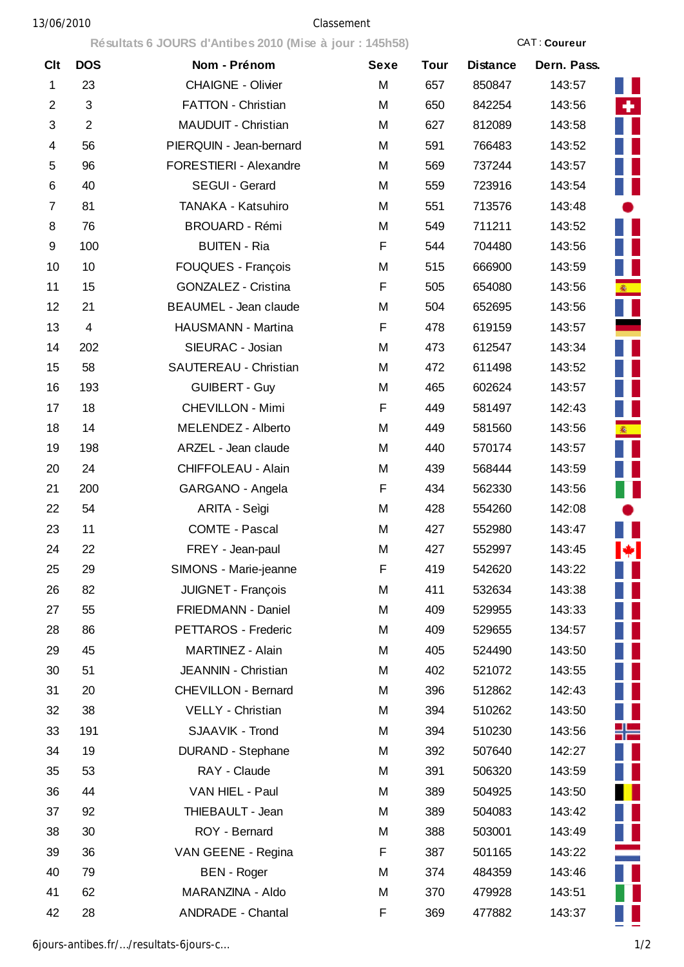## 13/06/2010 Classement

**Résultats 6 JOURS d'Antibes 2010 (Mise à jour : 145h58)** CAT : **Coureur**

| <b>Clt</b>     | <b>DOS</b>     | Nom - Prénom               | <b>Sexe</b> | <b>Tour</b> | <b>Distance</b> | Dern. Pass. |
|----------------|----------------|----------------------------|-------------|-------------|-----------------|-------------|
| $\mathbf{1}$   | 23             | <b>CHAIGNE - Olivier</b>   | M           | 657         | 850847          | 143:57      |
| $\overline{2}$ | $\mathfrak{S}$ | <b>FATTON - Christian</b>  | M           | 650         | 842254          | 143:56      |
| 3              | $\overline{2}$ | MAUDUIT - Christian        | M           | 627         | 812089          | 143:58      |
| 4              | 56             | PIERQUIN - Jean-bernard    | M           | 591         | 766483          | 143:52      |
| 5              | 96             | FORESTIERI - Alexandre     | M           | 569         | 737244          | 143:57      |
| 6              | 40             | SEGUI - Gerard             | M           | 559         | 723916          | 143:54      |
| 7              | 81             | TANAKA - Katsuhiro         | M           | 551         | 713576          | 143:48      |
| 8              | 76             | <b>BROUARD - Rémi</b>      | M           | 549         | 711211          | 143:52      |
| 9              | 100            | <b>BUITEN - Ria</b>        | F           | 544         | 704480          | 143:56      |
| 10             | 10             | FOUQUES - François         | M           | 515         | 666900          | 143:59      |
| 11             | 15             | GONZALEZ - Cristina        | F           | 505         | 654080          | 143:56      |
| 12             | 21             | BEAUMEL - Jean claude      | M           | 504         | 652695          | 143:56      |
| 13             | $\overline{4}$ | HAUSMANN - Martina         | F           | 478         | 619159          | 143:57      |
| 14             | 202            | SIEURAC - Josian           | M           | 473         | 612547          | 143:34      |
| 15             | 58             | SAUTEREAU - Christian      | M           | 472         | 611498          | 143:52      |
| 16             | 193            | <b>GUIBERT - Guy</b>       | M           | 465         | 602624          | 143:57      |
| 17             | 18             | <b>CHEVILLON - Mimi</b>    | F           | 449         | 581497          | 142:43      |
| 18             | 14             | MELENDEZ - Alberto         | M           | 449         | 581560          | 143:56      |
| 19             | 198            | ARZEL - Jean claude        | M           | 440         | 570174          | 143:57      |
| 20             | 24             | CHIFFOLEAU - Alain         | M           | 439         | 568444          | 143:59      |
| 21             | 200            | GARGANO - Angela           | F           | 434         | 562330          | 143:56      |
| 22             | 54             | ARITA - Seìgi              | Μ           | 428         | 554260          | 142:08      |
| 23             | 11             | <b>COMTE - Pascal</b>      | M           | 427         | 552980          | 143:47      |
| 24             | 22             | FREY - Jean-paul           | M           | 427         | 552997          | 143:45      |
| 25             | 29             | SIMONS - Marie-jeanne      | F           | 419         | 542620          | 143:22      |
| 26             | 82             | JUIGNET - François         | M           | 411         | 532634          | 143:38      |
| 27             | 55             | FRIEDMANN - Daniel         | M           | 409         | 529955          | 143:33      |
| 28             | 86             | PETTAROS - Frederic        | M           | 409         | 529655          | 134:57      |
| 29             | 45             | MARTINEZ - Alain           | M           | 405         | 524490          | 143:50      |
| 30             | 51             | JEANNIN - Christian        | M           | 402         | 521072          | 143:55      |
| 31             | 20             | <b>CHEVILLON - Bernard</b> | M           | 396         | 512862          | 142:43      |
| 32             | 38             | VELLY - Christian          | M           | 394         | 510262          | 143:50      |
| 33             | 191            | SJAAVIK - Trond            | M           | 394         | 510230          | 143:56      |
| 34             | 19             | <b>DURAND - Stephane</b>   | Μ           | 392         | 507640          | 142:27      |
| 35             | 53             | RAY - Claude               | Μ           | 391         | 506320          | 143:59      |
| 36             | 44             | VAN HIEL - Paul            | Μ           | 389         | 504925          | 143:50      |
| 37             | 92             | THIEBAULT - Jean           | M           | 389         | 504083          | 143:42      |
| 38             | 30             | ROY - Bernard              | M           | 388         | 503001          | 143:49      |
| 39             | 36             | VAN GEENE - Regina         | F           | 387         | 501165          | 143:22      |
| 40             | 79             | <b>BEN</b> - Roger         | M           | 374         | 484359          | 143:46      |
| 41             | 62             | MARANZINA - Aldo           | M           | 370         | 479928          | 143:51      |
| 42             | 28             | <b>ANDRADE - Chantal</b>   | F           | 369         | 477882          | 143:37      |



6jours-antibes.fr/…/resultats-6jours-c… 1/2